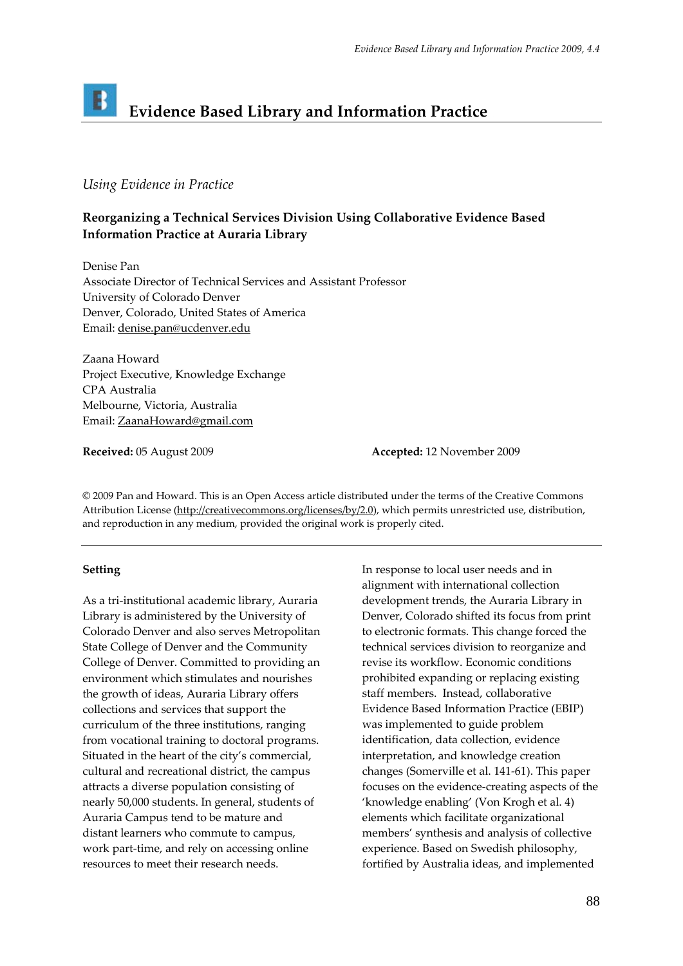# **Evidence Based Library and Information Practice**

# *Using Evidence in Practice*

# **Reorganizing a Technical Services Division Using Collaborative Evidence Based Information Practice at Auraria Library**

Denise Pan Associate Director of Technical Services and Assistant Professor University of Colorado Denver Denver, Colorado, United States of America Email: [denise.pan@ucdenver.edu](mailto:denise.pan@ucdenver.edu)

Zaana Howard Project Executive, Knowledge Exchange CPA Australia Melbourne, Victoria, Australia Email: [ZaanaHoward@gmail.com](mailto:ZaanaHoward@gmail.com)

**Received:** 05 August 2009 **Accepted:** 12 November 2009

© 2009 Pan and Howard. This is an Open Access article distributed under the terms of the Creative Commons Attribution License [\(http://creativecommons.org/licenses/by/2.0](http://creativecommons.org/licenses/by/2.0)), which permits unrestricted use, distribution, and reproduction in any medium, provided the original work is properly cited.

# **Setting**

As a tri‐institutional academic library, Auraria Library is administered by the University of Colorado Denver and also serves Metropolitan State College of Denver and the Community College of Denver. Committed to providing an environment which stimulates and nourishes the growth of ideas, Auraria Library offers collections and services that support the curriculum of the three institutions, ranging from vocational training to doctoral programs. Situated in the heart of the city's commercial, cultural and recreational district, the campus attracts a diverse population consisting of nearly 50,000 students. In general, students of Auraria Campus tend to be mature and distant learners who commute to campus, work part-time, and rely on accessing online resources to meet their research needs.

In response to local user needs and in alignment with international collection development trends, the Auraria Library in Denver, Colorado shifted its focus from print to electronic formats. This change forced the technical services division to reorganize and revise its workflow. Economic conditions prohibited expanding or replacing existing staff members. Instead, collaborative Evidence Based Information Practice (EBIP) was implemented to guide problem identification, data collection, evidence interpretation, and knowledge creation changes (Somerville et al. 141‐61). This paper focuses on the evidence‐creating aspects of the 'knowledge enabling' (Von Krogh et al. 4) elements which facilitate organizational members' synthesis and analysis of collective experience. Based on Swedish philosophy, fortified by Australia ideas, and implemented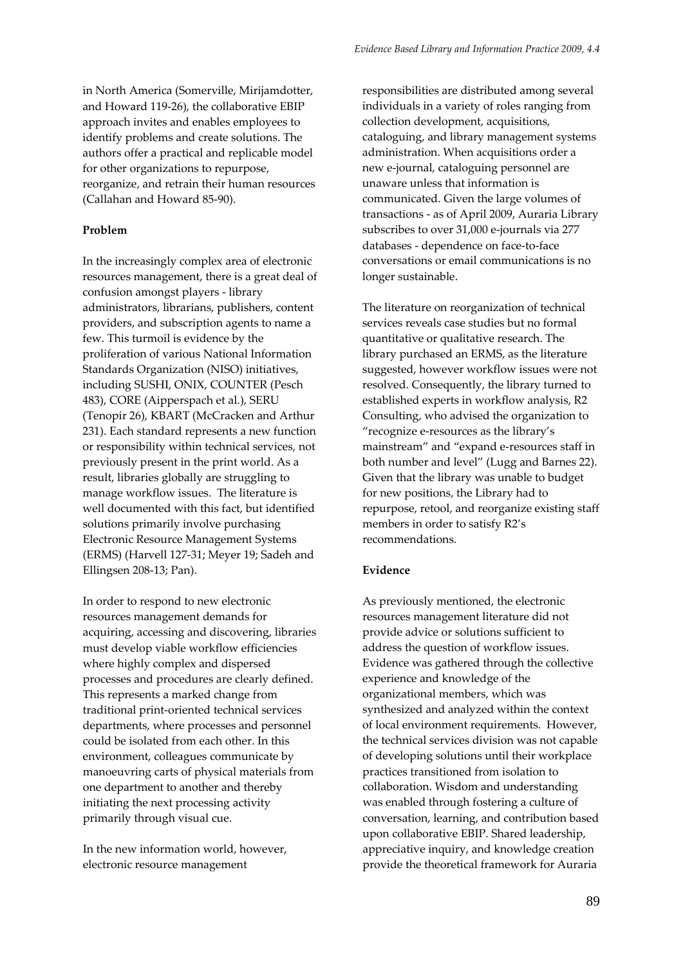in North America (Somerville, Mirijamdotter, and Howard 119‐26), the collaborative EBIP approach invites and enables employees to identify problems and create solutions. The authors offer a practical and replicable model for other organizations to repurpose, reorganize, and retrain their human resources (Callahan and Howard 85‐90).

#### **Problem**

In the increasingly complex area of electronic resources management, there is a great deal of confusion amongst players ‐ library administrators, librarians, publishers, content providers, and subscription agents to name a few. This turmoil is evidence by the proliferation of various National Information Standards Organization (NISO) initiatives, including SUSHI, ONIX, COUNTER (Pesch 483), CORE (Aipperspach et al.), SERU (Tenopir 26), KBART (McCracken and Arthur 231). Each standard represents a new function or responsibility within technical services, not previously present in the print world. As a result, libraries globally are struggling to manage workflow issues. The literature is well documented with this fact, but identified solutions primarily involve purchasing Electronic Resource Management Systems (ERMS) (Harvell 127‐31; Meyer 19; Sadeh and Ellingsen 208‐13; Pan).

In order to respond to new electronic resources management demands for acquiring, accessing and discovering, libraries must develop viable workflow efficiencies where highly complex and dispersed processes and procedures are clearly defined. This represents a marked change from traditional print‐oriented technical services departments, where processes and personnel could be isolated from each other. In this environment, colleagues communicate by manoeuvring carts of physical materials from one department to another and thereby initiating the next processing activity primarily through visual cue.

In the new information world, however, electronic resource management

responsibilities are distributed among several individuals in a variety of roles ranging from collection development, acquisitions, cataloguing, and library management systems administration. When acquisitions order a new e‐journal, cataloguing personnel are unaware unless that information is communicated. Given the large volumes of transactions ‐ as of April 2009, Auraria Library subscribes to over 31,000 e‐journals via 277 databases ‐ dependence on face‐to‐face conversations or email communications is no longer sustainable.

The literature on reorganization of technical services reveals case studies but no formal quantitative or qualitative research. The library purchased an ERMS, as the literature suggested, however workflow issues were not resolved. Consequently, the library turned to established experts in workflow analysis, R2 Consulting, who advised the organization to "recognize e‐resources as the library's mainstream" and "expand e‐resources staff in both number and level" (Lugg and Barnes 22). Given that the library was unable to budget for new positions, the Library had to repurpose, retool, and reorganize existing staff members in order to satisfy R2's recommendations.

#### **Evidence**

As previously mentioned, the electronic resources management literature did not provide advice or solutions sufficient to address the question of workflow issues. Evidence was gathered through the collective experience and knowledge of the organizational members, which was synthesized and analyzed within the context of local environment requirements. However, the technical services division was not capable of developing solutions until their workplace practices transitioned from isolation to collaboration. Wisdom and understanding was enabled through fostering a culture of conversation, learning, and contribution based upon collaborative EBIP. Shared leadership, appreciative inquiry, and knowledge creation provide the theoretical framework for Auraria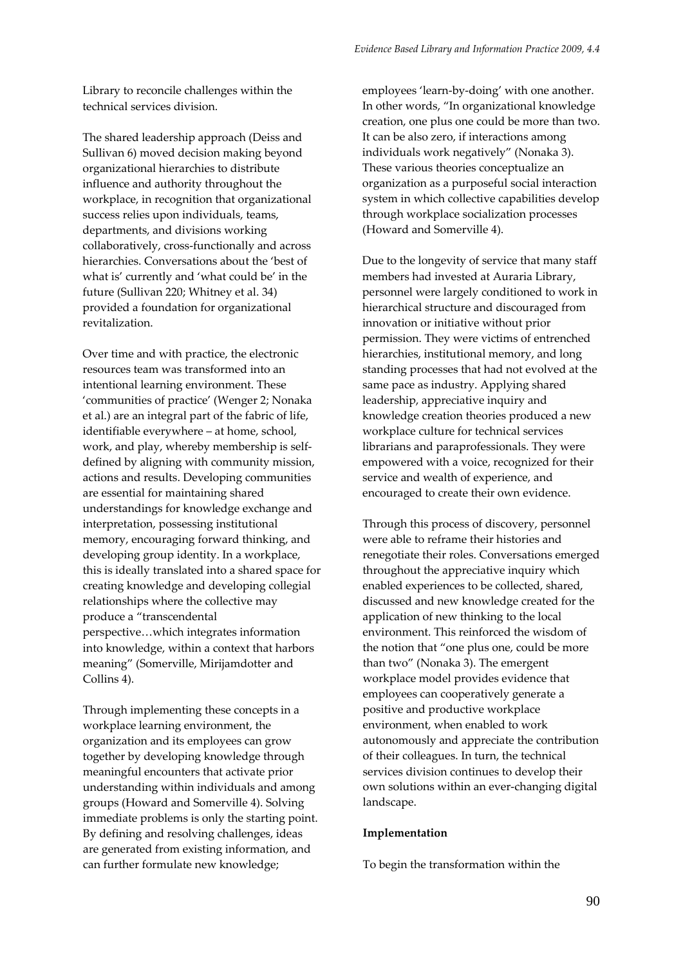Library to reconcile challenges within the technical services division.

The shared leadership approach (Deiss and Sullivan 6) moved decision making beyond organizational hierarchies to distribute influence and authority throughout the workplace, in recognition that organizational success relies upon individuals, teams, departments, and divisions working collaboratively, cross‐functionally and across hierarchies. Conversations about the 'best of what is' currently and 'what could be' in the future (Sullivan 220; Whitney et al. 34) provided a foundation for organizational revitalization.

Over time and with practice, the electronic resources team was transformed into an intentional learning environment. These 'communities of practice' (Wenger 2; Nonaka et al.) are an integral part of the fabric of life, identifiable everywhere – at home, school, work, and play, whereby membership is self‐ defined by aligning with community mission, actions and results. Developing communities are essential for maintaining shared understandings for knowledge exchange and interpretation, possessing institutional memory, encouraging forward thinking, and developing group identity. In a workplace, this is ideally translated into a shared space for creating knowledge and developing collegial relationships where the collective may produce a "transcendental perspective…which integrates information into knowledge, within a context that harbors meaning" (Somerville, Mirijamdotter and Collins 4).

Through implementing these concepts in a workplace learning environment, the organization and its employees can grow together by developing knowledge through meaningful encounters that activate prior understanding within individuals and among groups (Howard and Somerville 4). Solving immediate problems is only the starting point. By defining and resolving challenges, ideas are generated from existing information, and can further formulate new knowledge;

employees 'learn‐by‐doing' with one another. In other words, "In organizational knowledge creation, one plus one could be more than two. It can be also zero, if interactions among individuals work negatively" (Nonaka 3). These various theories conceptualize an organization as a purposeful social interaction system in which collective capabilities develop through workplace socialization processes (Howard and Somerville 4).

Due to the longevity of service that many staff members had invested at Auraria Library, personnel were largely conditioned to work in hierarchical structure and discouraged from innovation or initiative without prior permission. They were victims of entrenched hierarchies, institutional memory, and long standing processes that had not evolved at the same pace as industry. Applying shared leadership, appreciative inquiry and knowledge creation theories produced a new workplace culture for technical services librarians and paraprofessionals. They were empowered with a voice, recognized for their service and wealth of experience, and encouraged to create their own evidence.

Through this process of discovery, personnel were able to reframe their histories and renegotiate their roles. Conversations emerged throughout the appreciative inquiry which enabled experiences to be collected, shared, discussed and new knowledge created for the application of new thinking to the local environment. This reinforced the wisdom of the notion that "one plus one, could be more than two" (Nonaka 3). The emergent workplace model provides evidence that employees can cooperatively generate a positive and productive workplace environment, when enabled to work autonomously and appreciate the contribution of their colleagues. In turn, the technical services division continues to develop their own solutions within an ever‐changing digital landscape.

# **Implementation**

To begin the transformation within the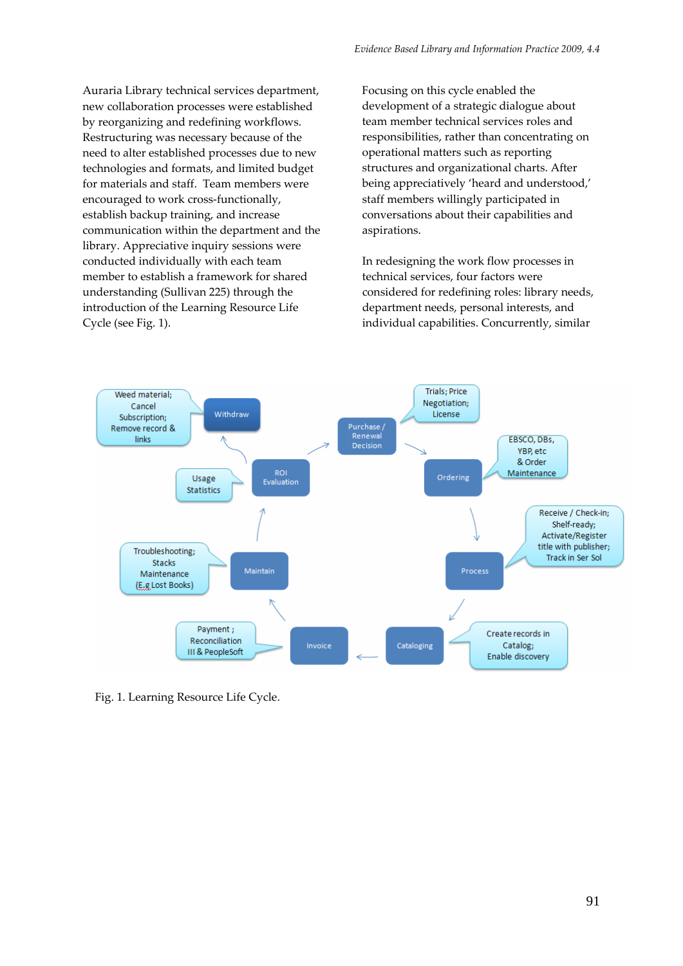Auraria Library technical services department, new collaboration processes were established by reorganizing and redefining workflows. Restructuring was necessary because of the need to alter established processes due to new technologies and formats, and limited budget for materials and staff. Team members were encouraged to work cross-functionally, establish backup training, and increase communication within the department and the library. Appreciative inquiry sessions were conducted individually with each team member to establish a framework for shared understanding (Sullivan 225) through the introduction of the Learning Resource Life Cycle (see Fig. 1).

Focusing on this cycle enabled the development of a strategic dialogue about team member technical services roles and responsibilities, rather than concentrating on operational matters such as reporting structures and organizational charts. After being appreciatively 'heard and understood,' staff members willingly participated in conversations about their capabilities and aspirations.

In redesigning the work flow processes in technical services, four factors were considered for redefining roles: library needs, department needs, personal interests, and individual capabilities. Concurrently, similar



Fig. 1. Learning Resource Life Cycle.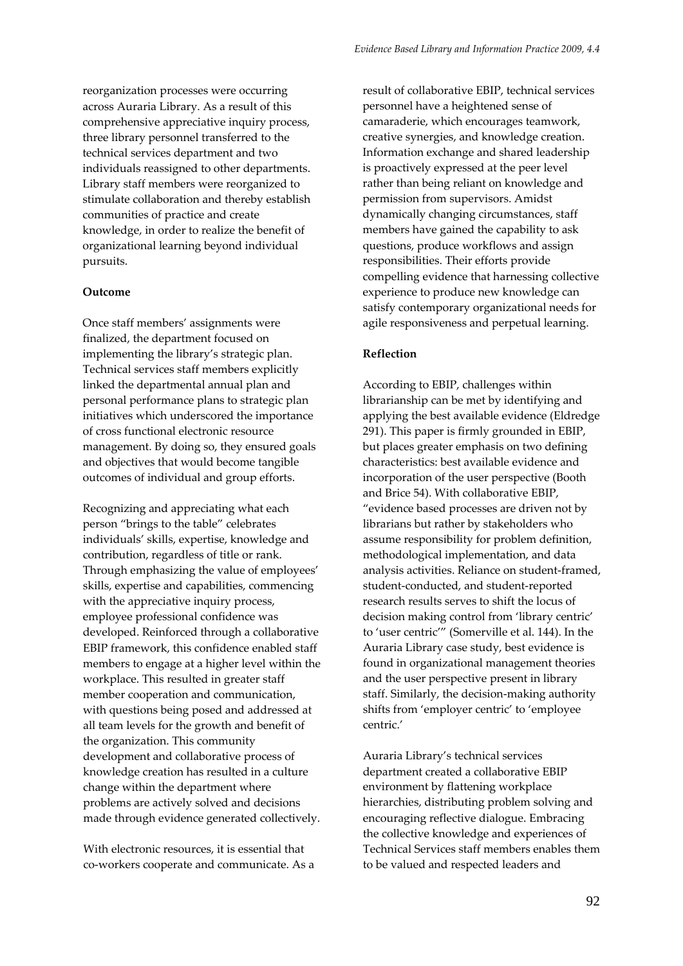reorganization processes were occurring across Auraria Library. As a result of this comprehensive appreciative inquiry process, three library personnel transferred to the technical services department and two individuals reassigned to other departments. Library staff members were reorganized to stimulate collaboration and thereby establish communities of practice and create knowledge, in order to realize the benefit of organizational learning beyond individual pursuits.

# **Outcome**

Once staff members' assignments were finalized, the department focused on implementing the library's strategic plan. Technical services staff members explicitly linked the departmental annual plan and personal performance plans to strategic plan initiatives which underscored the importance of cross functional electronic resource management. By doing so, they ensured goals and objectives that would become tangible outcomes of individual and group efforts.

Recognizing and appreciating what each person "brings to the table" celebrates individuals' skills, expertise, knowledge and contribution, regardless of title or rank. Through emphasizing the value of employees' skills, expertise and capabilities, commencing with the appreciative inquiry process, employee professional confidence was developed. Reinforced through a collaborative EBIP framework, this confidence enabled staff members to engage at a higher level within the workplace. This resulted in greater staff member cooperation and communication, with questions being posed and addressed at all team levels for the growth and benefit of the organization. This community development and collaborative process of knowledge creation has resulted in a culture change within the department where problems are actively solved and decisions made through evidence generated collectively.

With electronic resources, it is essential that co‐workers cooperate and communicate. As a result of collaborative EBIP, technical services personnel have a heightened sense of camaraderie, which encourages teamwork, creative synergies, and knowledge creation. Information exchange and shared leadership is proactively expressed at the peer level rather than being reliant on knowledge and permission from supervisors. Amidst dynamically changing circumstances, staff members have gained the capability to ask questions, produce workflows and assign responsibilities. Their efforts provide compelling evidence that harnessing collective experience to produce new knowledge can satisfy contemporary organizational needs for agile responsiveness and perpetual learning.

# **Reflection**

According to EBIP, challenges within librarianship can be met by identifying and applying the best available evidence (Eldredge 291). This paper is firmly grounded in EBIP, but places greater emphasis on two defining characteristics: best available evidence and incorporation of the user perspective (Booth and Brice 54). With collaborative EBIP, "evidence based processes are driven not by librarians but rather by stakeholders who assume responsibility for problem definition, methodological implementation, and data analysis activities. Reliance on student‐framed, student‐conducted, and student‐reported research results serves to shift the locus of decision making control from 'library centric' to 'user centric'" (Somerville et al. 144). In the Auraria Library case study, best evidence is found in organizational management theories and the user perspective present in library staff. Similarly, the decision‐making authority shifts from 'employer centric' to 'employee centric.'

Auraria Library's technical services department created a collaborative EBIP environment by flattening workplace hierarchies, distributing problem solving and encouraging reflective dialogue. Embracing the collective knowledge and experiences of Technical Services staff members enables them to be valued and respected leaders and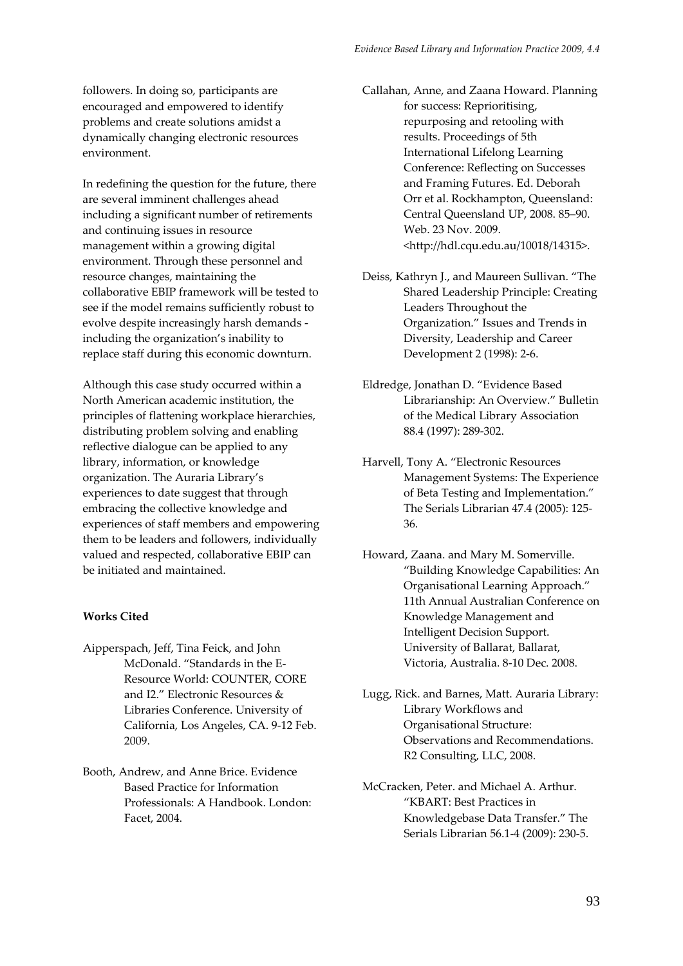followers. In doing so, participants are encouraged and empowered to identify problems and create solutions amidst a dynamically changing electronic resources environment.

In redefining the question for the future, there are several imminent challenges ahead including a significant number of retirements and continuing issues in resource management within a growing digital environment. Through these personnel and resource changes, maintaining the collaborative EBIP framework will be tested to see if the model remains sufficiently robust to evolve despite increasingly harsh demands ‐ including the organization's inability to replace staff during this economic downturn.

Although this case study occurred within a North American academic institution, the principles of flattening workplace hierarchies, distributing problem solving and enabling reflective dialogue can be applied to any library, information, or knowledge organization. The Auraria Library's experiences to date suggest that through embracing the collective knowledge and experiences of staff members and empowering them to be leaders and followers, individually valued and respected, collaborative EBIP can be initiated and maintained.

# **Works Cited**

- Aipperspach, Jeff, Tina Feick, and John McDonald. "Standards in the E‐ Resource World: COUNTER, CORE and I2." Electronic Resources & Libraries Conference. University of California, Los Angeles, CA. 9‐12 Feb. 2009.
- Booth, Andrew, and Anne Brice. Evidence Based Practice for Information Professionals: A Handbook. London: Facet, 2004.

Callahan, Anne, and Zaana Howard. Planning for success: Reprioritising, repurposing and retooling with results. Proceedings of 5th International Lifelong Learning Conference: Reflecting on Successes and Framing Futures. Ed. Deborah Orr et al. Rockhampton, Queensland: Central Queensland UP, 2008. 85–90. Web. 23 Nov. 2009. <http://hdl.cqu.edu.au/10018/14315>.

Deiss, Kathryn J., and Maureen Sullivan. "The Shared Leadership Principle: Creating Leaders Throughout the Organization." Issues and Trends in Diversity, Leadership and Career Development 2 (1998): 2‐6.

- Eldredge, Jonathan D. "Evidence Based Librarianship: An Overview." Bulletin of the Medical Library Association 88.4 (1997): 289‐302.
- Harvell, Tony A. "Electronic Resources Management Systems: The Experience of Beta Testing and Implementation." The Serials Librarian 47.4 (2005): 125‐ 36.
- Howard, Zaana. and Mary M. Somerville. "Building Knowledge Capabilities: An Organisational Learning Approach." 11th Annual Australian Conference on Knowledge Management and Intelligent Decision Support. University of Ballarat, Ballarat, Victoria, Australia. 8‐10 Dec. 2008.
- Lugg, Rick. and Barnes, Matt. Auraria Library: Library Workflows and Organisational Structure: Observations and Recommendations. R2 Consulting, LLC, 2008.
- McCracken, Peter. and Michael A. Arthur. "KBART: Best Practices in Knowledgebase Data Transfer." The Serials Librarian 56.1‐4 (2009): 230‐5.